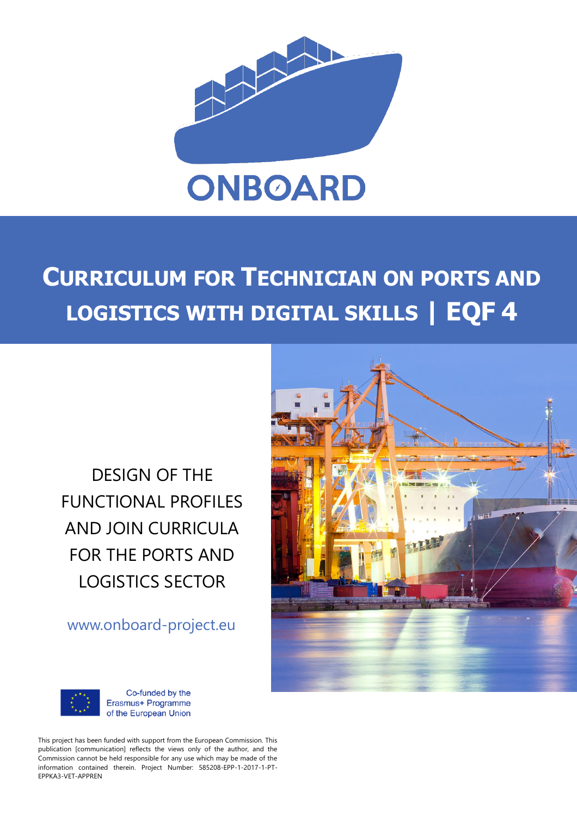

# **CURRICULUM FOR TECHNICIAN ON PORTS AND LOGISTICS WITH DIGITAL SKILLS | EQF 4**

DESIGN OF THE FUNCTIONAL PROFILES AND JOIN CURRICULA FOR THE PORTS AND LOGISTICS SECTOR

www.onboard-project.eu





Co-funded by the Erasmus+ Programme of the European Union

This project has been funded with support from the European Commission. This publication [communication] reflects the views only of the author, and the Commission cannot be held responsible for any use which may be made of the information contained therein. Project Number: 585208-EPP-1-2017-1-PT-EPPKA3-VET-APPREN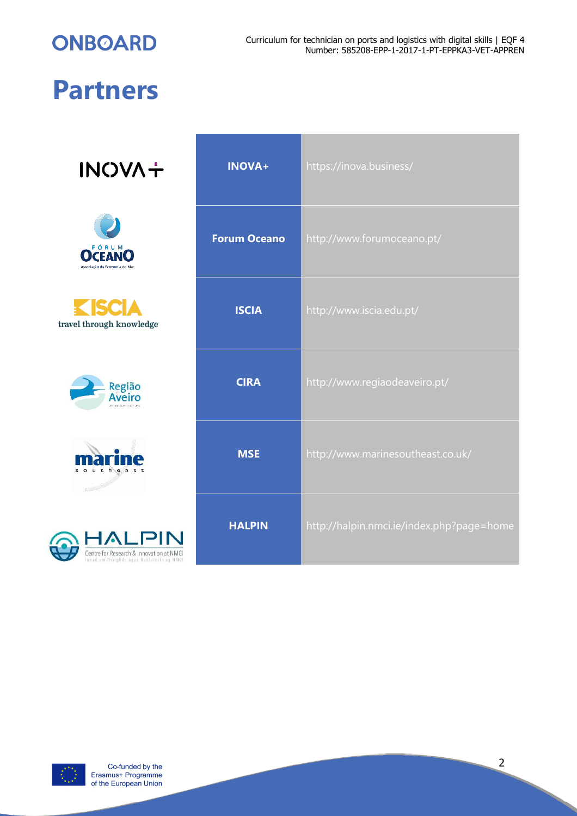**ONBOARD** 

# **Partners**

**INOVA+** 











| <b>INOVA+</b>       | https://inova.business/                   |
|---------------------|-------------------------------------------|
| <b>Forum Oceano</b> | http://www.forumoceano.pt/                |
| <b>ISCIA</b>        | http://www.iscia.edu.pt/                  |
| <b>CIRA</b>         | http://www.regiaodeaveiro.pt/             |
| <b>MSE</b>          | http://www.marinesoutheast.co.uk/         |
| <b>HALPIN</b>       | http://halpin.nmci.ie/index.php?page=home |



Co-funded by the Erasmus+ Programme of the European Union 2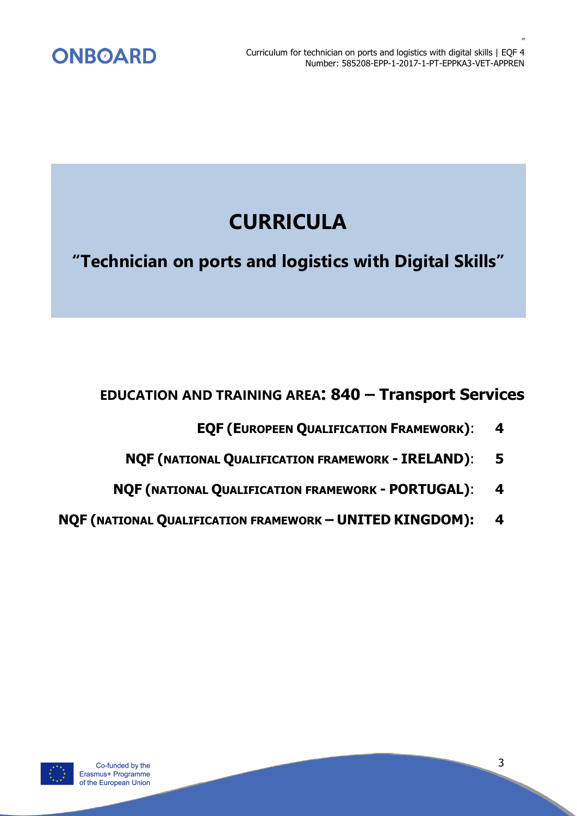

# **CURRICULA**

**"Technician on ports and logistics with Digital Skills"**

# **EDUCATION AND TRAINING AREA: 840 – Transport Services**

- **EQF (EUROPEEN QUALIFICATION FRAMEWORK)**: **4**
- **NQF (NATIONAL QUALIFICATION FRAMEWORK - IRELAND)**: **5**
- **NQF (NATIONAL QUALIFICATION FRAMEWORK - PORTUGAL)**: **4**
- **NQF (NATIONAL QUALIFICATION FRAMEWORK – UNITED KINGDOM): 4**

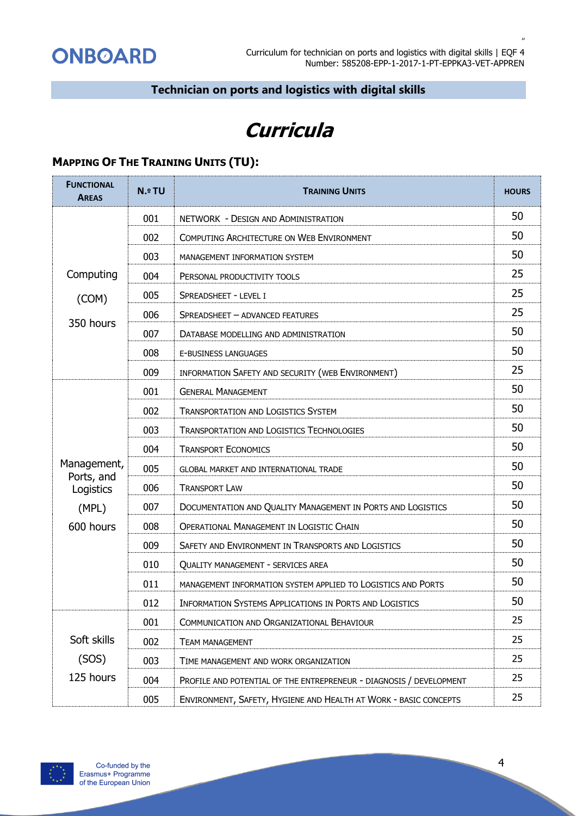*"*

# **Technician on ports and logistics with digital skills**

# **Curricula**

# **MAPPING OF THE TRAINING UNITS (TU):**

| <b>FUNCTIONAL</b><br><b>AREAS</b> | <b>N.º TU</b> | <b>TRAINING UNITS</b>                                               | <b>HOURS</b> |
|-----------------------------------|---------------|---------------------------------------------------------------------|--------------|
|                                   | 001           | NETWORK - DESIGN AND ADMINISTRATION                                 | 50           |
|                                   | 002           | COMPUTING ARCHITECTURE ON WEB ENVIRONMENT                           | 50           |
|                                   | 003           | MANAGEMENT INFORMATION SYSTEM                                       | 50           |
| Computing                         | 004           | PERSONAL PRODUCTIVITY TOOLS                                         | 25           |
| (COM)<br>350 hours                | 005           | SPREADSHEET - LEVEL I                                               | 25           |
|                                   | 006           | SPREADSHEET - ADVANCED FEATURES                                     | 25           |
|                                   | 007           | DATABASE MODELLING AND ADMINISTRATION                               | 50           |
|                                   | 008           | E-BUSINESS LANGUAGES                                                | 50           |
|                                   | 009           | INFORMATION SAFETY AND SECURITY (WEB ENVIRONMENT)                   | 25           |
|                                   | 001           | <b>GENERAL MANAGEMENT</b>                                           | 50           |
|                                   | 002           | <b>TRANSPORTATION AND LOGISTICS SYSTEM</b>                          | 50           |
|                                   | 003           | <b>TRANSPORTATION AND LOGISTICS TECHNOLOGIES</b>                    | 50           |
|                                   | 004           | <b>TRANSPORT ECONOMICS</b>                                          | 50           |
| Management,                       | 005           | <b>GLOBAL MARKET AND INTERNATIONAL TRADE</b>                        | 50           |
| Ports, and<br>Logistics           | 006           | <b>TRANSPORT LAW</b>                                                | 50           |
| (MPL)                             | 007           | DOCUMENTATION AND QUALITY MANAGEMENT IN PORTS AND LOGISTICS         | 50           |
| 600 hours                         | 008           | <b>OPERATIONAL MANAGEMENT IN LOGISTIC CHAIN</b>                     | 50           |
|                                   | 009           | SAFETY AND ENVIRONMENT IN TRANSPORTS AND LOGISTICS                  | 50           |
|                                   | 010           | <b>QUALITY MANAGEMENT - SERVICES AREA</b>                           | 50           |
|                                   | 011           | MANAGEMENT INFORMATION SYSTEM APPLIED TO LOGISTICS AND PORTS        | 50           |
|                                   | 012           | INFORMATION SYSTEMS APPLICATIONS IN PORTS AND LOGISTICS             | 50           |
|                                   | 001           | COMMUNICATION AND ORGANIZATIONAL BEHAVIOUR                          | 25           |
| Soft skills                       | 002           | <b>TEAM MANAGEMENT</b>                                              | 25           |
| (SOS)                             | 003           | TIME MANAGEMENT AND WORK ORGANIZATION                               | 25           |
| 125 hours                         | 004           | PROFILE AND POTENTIAL OF THE ENTREPRENEUR - DIAGNOSIS / DEVELOPMENT | 25           |
|                                   | 005           | ENVIRONMENT, SAFETY, HYGIENE AND HEALTH AT WORK - BASIC CONCEPTS    | 25           |

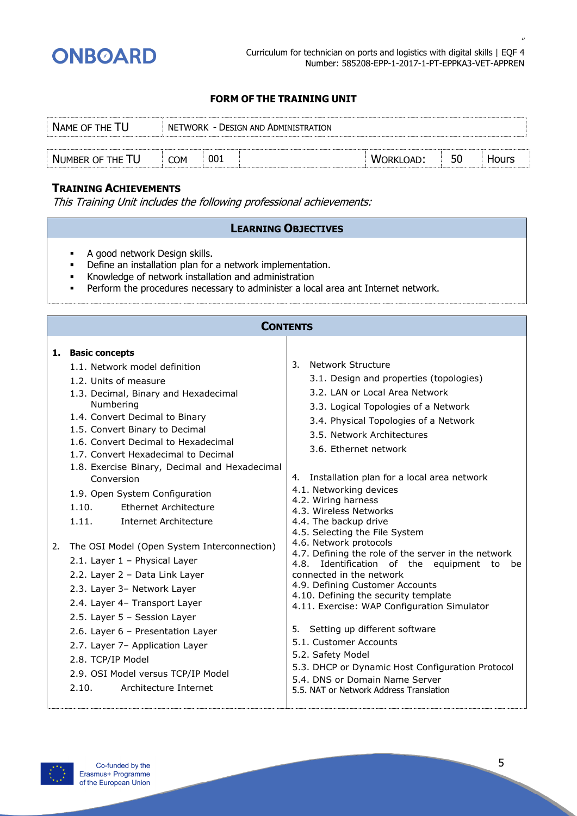

*"*

# **FORM OF THE TRAINING UNIT**

| NAME OF THE TU   | NETWORK - DESIGN AND ADMINISTRATION |     |  |           |    |       |  |
|------------------|-------------------------------------|-----|--|-----------|----|-------|--|
|                  |                                     |     |  |           |    |       |  |
| NUMBER OF THE TU | <b>COM</b>                          | 001 |  | WORKLOAD: | 50 | Hours |  |

# **TRAINING ACHIEVEMENTS**

This Training Unit includes the following professional achievements:

- A good network Design skills.
- **•** Define an installation plan for a network implementation.
- Knowledge of network installation and administration
- **•** Perform the procedures necessary to administer a local area ant Internet network.

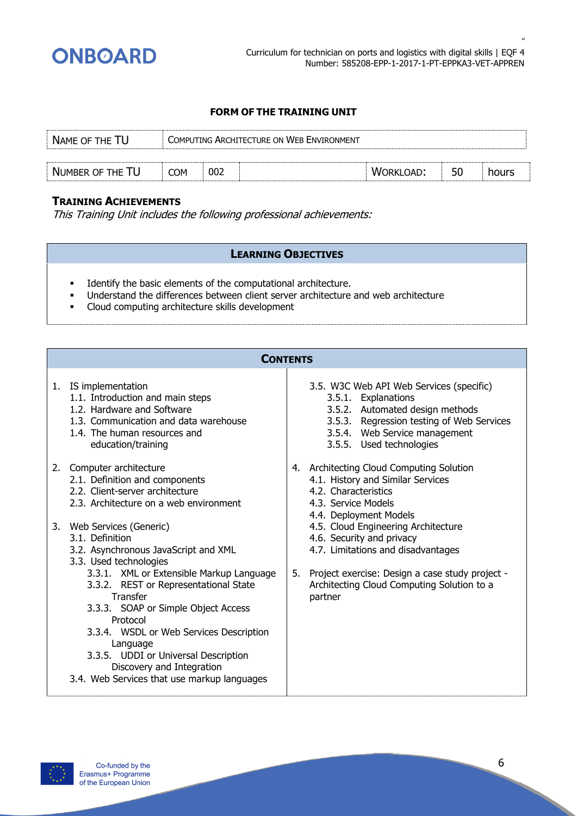

| NAME OF THE TU   | COMPUTING ARCHITECTURE ON WEB ENVIRONMENT |     |  |                  |    |       |
|------------------|-------------------------------------------|-----|--|------------------|----|-------|
|                  |                                           |     |  |                  |    |       |
| NUMBER OF THE TU | COM                                       | 002 |  | <b>WORKLOAD:</b> | 50 | hours |

# **TRAINING ACHIEVEMENTS**

This Training Unit includes the following professional achievements:

- Identify the basic elements of the computational architecture.
- Understand the differences between client server architecture and web architecture
- Cloud computing architecture skills development

|    | <b>CONTENTS</b>                                                                                                                                                                                                                                                                                                             |    |                                                                                                                                                                                                              |
|----|-----------------------------------------------------------------------------------------------------------------------------------------------------------------------------------------------------------------------------------------------------------------------------------------------------------------------------|----|--------------------------------------------------------------------------------------------------------------------------------------------------------------------------------------------------------------|
| 1. | IS implementation<br>1.1. Introduction and main steps<br>1.2. Hardware and Software<br>1.3. Communication and data warehouse<br>1.4. The human resources and<br>education/training                                                                                                                                          |    | 3.5. W3C Web API Web Services (specific)<br>3.5.1. Explanations<br>3.5.2. Automated design methods<br>3.5.3. Regression testing of Web Services<br>3.5.4. Web Service management<br>3.5.5. Used technologies |
|    | 2. Computer architecture<br>2.1. Definition and components<br>2.2. Client-server architecture<br>2.3. Architecture on a web environment                                                                                                                                                                                     |    | 4. Architecting Cloud Computing Solution<br>4.1. History and Similar Services<br>4.2. Characteristics<br>4.3. Service Models<br>4.4. Deployment Models                                                       |
|    | 3. Web Services (Generic)<br>3.1. Definition<br>3.2. Asynchronous JavaScript and XML<br>3.3. Used technologies                                                                                                                                                                                                              |    | 4.5. Cloud Engineering Architecture<br>4.6. Security and privacy<br>4.7. Limitations and disadvantages                                                                                                       |
|    | 3.3.1. XML or Extensible Markup Language<br>3.3.2. REST or Representational State<br>Transfer<br>3.3.3. SOAP or Simple Object Access<br>Protocol<br>3.3.4. WSDL or Web Services Description<br>Language<br>3.3.5. UDDI or Universal Description<br>Discovery and Integration<br>3.4. Web Services that use markup languages | 5. | Project exercise: Design a case study project -<br>Architecting Cloud Computing Solution to a<br>partner                                                                                                     |

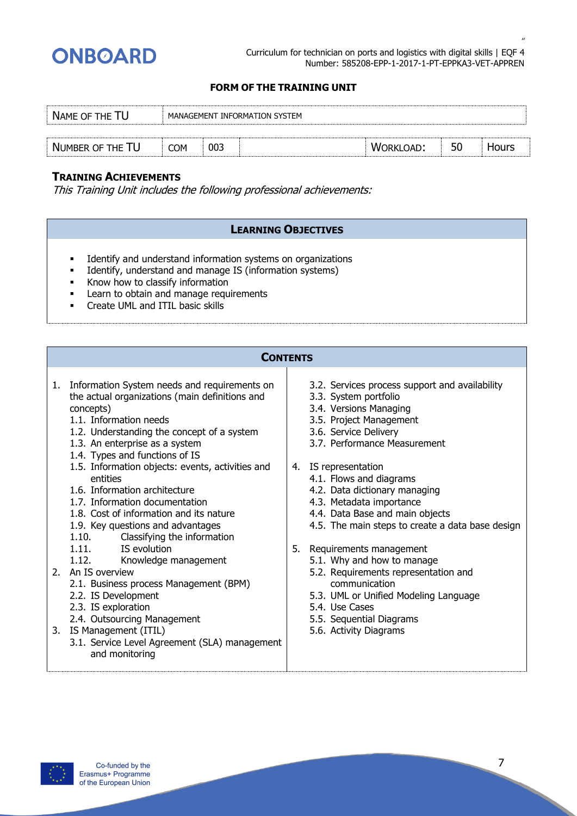

*"*

#### **FORM OF THE TRAINING UNIT**

| NAME OF THE TU   |            |     | MANAGEMENT INFORMATION SYSTEM |           |    |              |
|------------------|------------|-----|-------------------------------|-----------|----|--------------|
|                  |            |     |                               |           |    |              |
| NUMBER OF THE TU | <b>COM</b> | 003 |                               | WORKLOAD: | 50 | <b>Hours</b> |

# **TRAINING ACHIEVEMENTS**

This Training Unit includes the following professional achievements:

- **•** Identify and understand information systems on organizations
- **•** Identify, understand and manage IS (information systems)
- $\overline{\phantom{a}}$  Know how to classify information
- **EXECTE 1.5 Learn to obtain and manage requirements**
- **•** Create UML and ITIL basic skills

|    | <b>CONTENTS</b>                                                                                                                                                                                                                                                               |  |                                                                                                                                                                                                                                   |  |  |  |  |  |  |
|----|-------------------------------------------------------------------------------------------------------------------------------------------------------------------------------------------------------------------------------------------------------------------------------|--|-----------------------------------------------------------------------------------------------------------------------------------------------------------------------------------------------------------------------------------|--|--|--|--|--|--|
| 1. | Information System needs and requirements on<br>the actual organizations (main definitions and<br>concepts)<br>1.1. Information needs<br>1.2. Understanding the concept of a system<br>1.3. An enterprise as a system<br>1.4. Types and functions of IS                       |  | 3.2. Services process support and availability<br>3.3. System portfolio<br>3.4. Versions Managing<br>3.5. Project Management<br>3.6. Service Delivery<br>3.7. Performance Measurement                                             |  |  |  |  |  |  |
|    | 1.5. Information objects: events, activities and<br>entities<br>1.6. Information architecture<br>1.7. Information documentation<br>1.8. Cost of information and its nature<br>1.9. Key questions and advantages<br>1.10.<br>Classifying the information<br>1.11. IS evolution |  | 4. IS representation<br>4.1. Flows and diagrams<br>4.2. Data dictionary managing<br>4.3. Metadata importance<br>4.4. Data Base and main objects<br>4.5. The main steps to create a data base design<br>5. Requirements management |  |  |  |  |  |  |
|    | 1.12.<br>Knowledge management<br>2. An IS overview<br>2.1. Business process Management (BPM)<br>2.2. IS Development<br>2.3. IS exploration<br>2.4. Outsourcing Management                                                                                                     |  | 5.1. Why and how to manage<br>5.2. Requirements representation and<br>communication<br>5.3. UML or Unified Modeling Language<br>5.4. Use Cases<br>5.5. Sequential Diagrams                                                        |  |  |  |  |  |  |
|    | 3. IS Management (ITIL)<br>3.1. Service Level Agreement (SLA) management<br>and monitoring                                                                                                                                                                                    |  | 5.6. Activity Diagrams                                                                                                                                                                                                            |  |  |  |  |  |  |

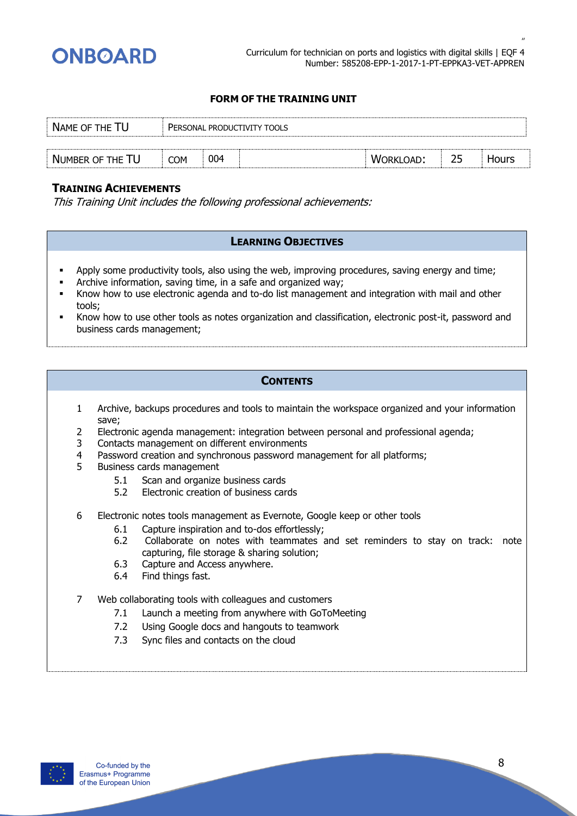

| NAME OF THE TU   | PERSONAL PRODUCTIVITY TOOLS |     |  |                  |  |       |  |  |
|------------------|-----------------------------|-----|--|------------------|--|-------|--|--|
|                  |                             |     |  |                  |  |       |  |  |
| NUMBER OF THE TU | <b>COM</b>                  | 004 |  | <b>WORKLOAD:</b> |  | Hours |  |  |

# **TRAINING ACHIEVEMENTS**

This Training Unit includes the following professional achievements:

# **LEARNING OBJECTIVES**

- **•** Apply some productivity tools, also using the web, improving procedures, saving energy and time;
- **EXEDENT Archive information, saving time, in a safe and organized way;**
- **EXECT** Know how to use electronic agenda and to-do list management and integration with mail and other tools;
- Know how to use other tools as notes organization and classification, electronic post-it, password and business cards management;

- 1 Archive, backups procedures and tools to maintain the workspace organized and your information save;
- 2 Electronic agenda management: integration between personal and professional agenda;
- 3 Contacts management on different environments
- 4 Password creation and synchronous password management for all platforms;
- 5 Business cards management
	- 5.1 Scan and organize business cards
	- 5.2 Electronic creation of business cards
- 6 Electronic notes tools management as Evernote, Google keep or other tools
	- 6.1 Capture inspiration and to-dos effortlessly;
	- 6.2 Collaborate on notes with teammates and set reminders to stay on track: note capturing, file storage & sharing solution;
	- 6.3 Capture and Access anywhere.
	- 6.4 Find things fast.
- 7 Web collaborating tools with colleagues and customers
	- 7.1 Launch a meeting from anywhere with GoToMeeting
	- 7.2 Using Google docs and hangouts to teamwork
	- 7.3 Sync files and contacts on the cloud

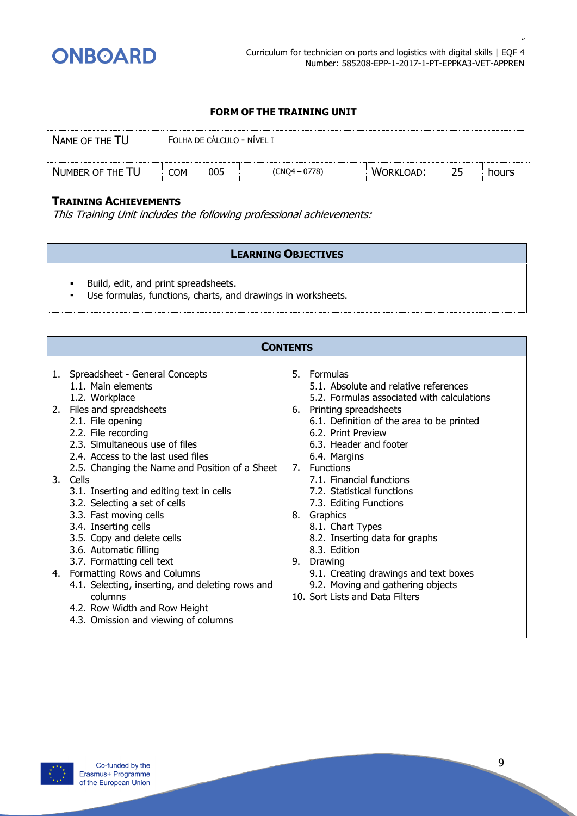

| NAME OF THE TU   | FOLHA DE CÁLCULO - NÍVEL I |     |               |                  |    |       |
|------------------|----------------------------|-----|---------------|------------------|----|-------|
|                  |                            |     |               |                  |    |       |
| NUMBER OF THE TU | <b>COM</b>                 | 005 | (CNQ4 - 0778) | <b>WORKLOAD:</b> | 25 | hours |

# **TRAINING ACHIEVEMENTS**

This Training Unit includes the following professional achievements:

- Build, edit, and print spreadsheets.
- Use formulas, functions, charts, and drawings in worksheets.

|          | <b>CONTENTS</b>                                                                                                                                                                                                                                                                                                                                                                                                                                                                                                                                                                                                                                                                  |                |                                                                                                                                                                                                                                                                                                                                                                                                                                                                                                                                                            |  |  |  |  |  |  |
|----------|----------------------------------------------------------------------------------------------------------------------------------------------------------------------------------------------------------------------------------------------------------------------------------------------------------------------------------------------------------------------------------------------------------------------------------------------------------------------------------------------------------------------------------------------------------------------------------------------------------------------------------------------------------------------------------|----------------|------------------------------------------------------------------------------------------------------------------------------------------------------------------------------------------------------------------------------------------------------------------------------------------------------------------------------------------------------------------------------------------------------------------------------------------------------------------------------------------------------------------------------------------------------------|--|--|--|--|--|--|
| 1.<br>4. | Spreadsheet - General Concepts<br>1.1. Main elements<br>1.2. Workplace<br>2. Files and spreadsheets<br>2.1. File opening<br>2.2. File recording<br>2.3. Simultaneous use of files<br>2.4. Access to the last used files<br>2.5. Changing the Name and Position of a Sheet<br>3. Cells<br>3.1. Inserting and editing text in cells<br>3.2. Selecting a set of cells<br>3.3. Fast moving cells<br>3.4. Inserting cells<br>3.5. Copy and delete cells<br>3.6. Automatic filling<br>3.7. Formatting cell text<br>Formatting Rows and Columns<br>4.1. Selecting, inserting, and deleting rows and<br>columns<br>4.2. Row Width and Row Height<br>4.3. Omission and viewing of columns | 5.<br>8.<br>9. | Formulas<br>5.1. Absolute and relative references<br>5.2. Formulas associated with calculations<br>6. Printing spreadsheets<br>6.1. Definition of the area to be printed<br>6.2. Print Preview<br>6.3. Header and footer<br>6.4. Margins<br>7. Functions<br>7.1. Financial functions<br>7.2. Statistical functions<br>7.3. Editing Functions<br>Graphics<br>8.1. Chart Types<br>8.2. Inserting data for graphs<br>8.3. Edition<br>Drawing<br>9.1. Creating drawings and text boxes<br>9.2. Moving and gathering objects<br>10. Sort Lists and Data Filters |  |  |  |  |  |  |
|          |                                                                                                                                                                                                                                                                                                                                                                                                                                                                                                                                                                                                                                                                                  |                |                                                                                                                                                                                                                                                                                                                                                                                                                                                                                                                                                            |  |  |  |  |  |  |

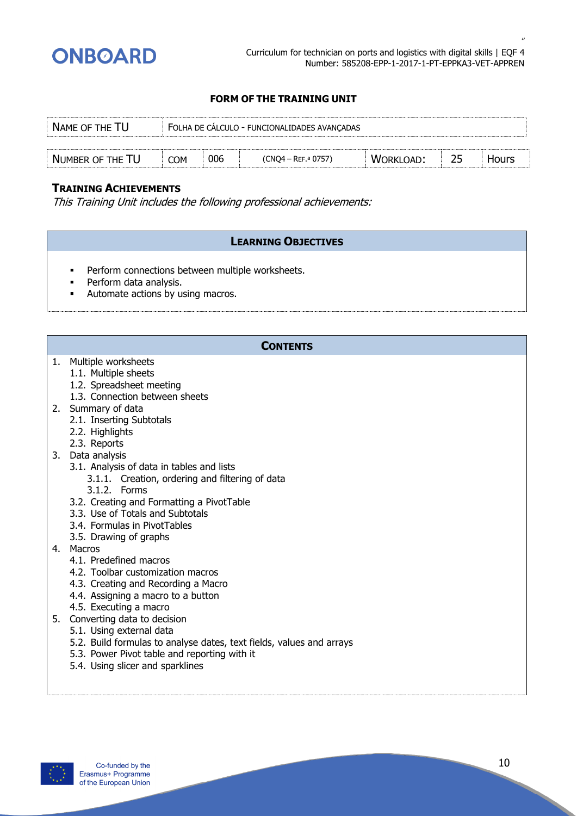

| NAME OF THE TU   | FOLHA DE CALCULO - FUNCIONALIDADES AVANÇADAS |     |                      |                  |    |              |  |
|------------------|----------------------------------------------|-----|----------------------|------------------|----|--------------|--|
|                  |                                              |     |                      |                  |    |              |  |
| NUMBER OF THE TU | <b>COM</b>                                   | 006 | $(CNQ4 - Ref. 0757)$ | <b>WORKLOAD:</b> | 25 | <b>Hours</b> |  |

# **TRAINING ACHIEVEMENTS**

This Training Unit includes the following professional achievements:

# **LEARNING OBJECTIVES**

- **•** Perform connections between multiple worksheets.
- **•** Perform data analysis.
- Automate actions by using macros.

# **CONTENTS**

#### 1. Multiple worksheets

- 1.1. Multiple sheets
- 1.2. Spreadsheet meeting
- 1.3. Connection between sheets
- 2. Summary of data
	- 2.1. Inserting Subtotals
	- 2.2. Highlights
	- 2.3. Reports
- 3. Data analysis
	- 3.1. Analysis of data in tables and lists
		- 3.1.1. Creation, ordering and filtering of data
		- 3.1.2. Forms
	- 3.2. Creating and Formatting a PivotTable
	- 3.3. Use of Totals and Subtotals
	- 3.4. Formulas in PivotTables
	- 3.5. Drawing of graphs
- 4. Macros
	- 4.1. Predefined macros
	- 4.2. Toolbar customization macros
	- 4.3. Creating and Recording a Macro
	- 4.4. Assigning a macro to a button
	- 4.5. Executing a macro
- 5. Converting data to decision
	- 5.1. Using external data
	- 5.2. Build formulas to analyse dates, text fields, values and arrays
	- 5.3. Power Pivot table and reporting with it
	- 5.4. Using slicer and sparklines

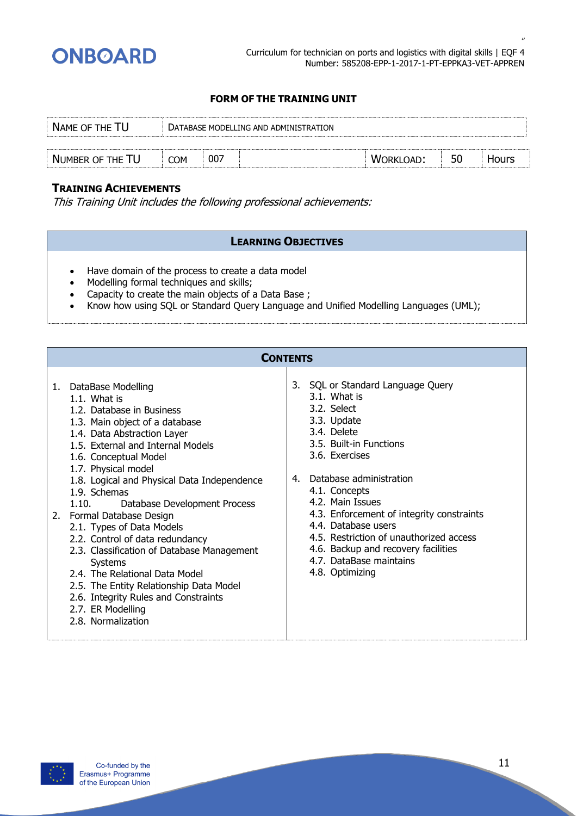

*"*

# **FORM OF THE TRAINING UNIT**

| NAME OF THE TU   |            | DATABASE MODELLING AND ADMINISTRATION |  |                  |    |       |  |  |  |
|------------------|------------|---------------------------------------|--|------------------|----|-------|--|--|--|
|                  |            |                                       |  |                  |    |       |  |  |  |
| NUMBER OF THE TU | <b>COM</b> | -007                                  |  | <b>WORKLOAD:</b> | 50 | Hours |  |  |  |

# **TRAINING ACHIEVEMENTS**

This Training Unit includes the following professional achievements:

- Have domain of the process to create a data model
- Modelling formal techniques and skills;
- Capacity to create the main objects of a Data Base ;
- Know how using SQL or Standard Query Language and Unified Modelling Languages (UML);

|    | <b>CONTENTS</b>                                                                                                                                                                                                                                                                                                                                                                                                                                                                                                                                                                                                                                       |    |                                                                                                                                                                                                                                                                                                                                                                                                                 |
|----|-------------------------------------------------------------------------------------------------------------------------------------------------------------------------------------------------------------------------------------------------------------------------------------------------------------------------------------------------------------------------------------------------------------------------------------------------------------------------------------------------------------------------------------------------------------------------------------------------------------------------------------------------------|----|-----------------------------------------------------------------------------------------------------------------------------------------------------------------------------------------------------------------------------------------------------------------------------------------------------------------------------------------------------------------------------------------------------------------|
| 2. | 1. DataBase Modelling<br>$1.1.$ What is<br>1.2. Database in Business<br>1.3. Main object of a database<br>1.4. Data Abstraction Layer<br>1.5. External and Internal Models<br>1.6. Conceptual Model<br>1.7. Physical model<br>1.8. Logical and Physical Data Independence<br>1.9. Schemas<br>Database Development Process<br>1.10.<br>Formal Database Design<br>2.1. Types of Data Models<br>2.2. Control of data redundancy<br>2.3. Classification of Database Management<br>Systems<br>2.4. The Relational Data Model<br>2.5. The Entity Relationship Data Model<br>2.6. Integrity Rules and Constraints<br>2.7. ER Modelling<br>2.8. Normalization | 4. | 3. SQL or Standard Language Query<br>3.1. What is<br>3.2. Select<br>3.3. Update<br>3.4. Delete<br>3.5. Built-in Functions<br>3.6. Exercises<br>Database administration<br>4.1. Concepts<br>4.2. Main Issues<br>4.3. Enforcement of integrity constraints<br>4.4. Database users<br>4.5. Restriction of unauthorized access<br>4.6. Backup and recovery facilities<br>4.7. DataBase maintains<br>4.8. Optimizing |

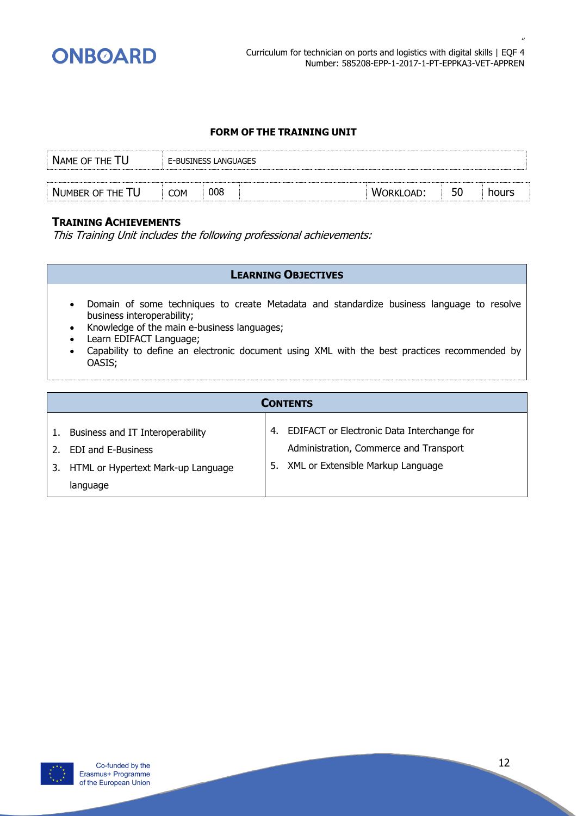

| NAME OF THE TU   |     | E-BUSINESS LANGUAGES |  |           |    |       |  |  |  |  |
|------------------|-----|----------------------|--|-----------|----|-------|--|--|--|--|
|                  |     |                      |  |           |    |       |  |  |  |  |
| NUMBER OF THE TU | COM | 008                  |  | WORKLOAD: | 50 | hours |  |  |  |  |

# **TRAINING ACHIEVEMENTS**

This Training Unit includes the following professional achievements:

- Domain of some techniques to create Metadata and standardize business language to resolve business interoperability;
- Knowledge of the main e-business languages;
- Learn EDIFACT Language;
- Capability to define an electronic document using XML with the best practices recommended by OASIS;

|                                                                                                     |    | <b>CONTENTS</b>                                                                                                              |
|-----------------------------------------------------------------------------------------------------|----|------------------------------------------------------------------------------------------------------------------------------|
| Business and IT Interoperability<br><b>EDI</b> and E-Business<br>HTML or Hypertext Mark-up Language | 5. | 4. EDIFACT or Electronic Data Interchange for<br>Administration, Commerce and Transport<br>XML or Extensible Markup Language |
| language                                                                                            |    |                                                                                                                              |

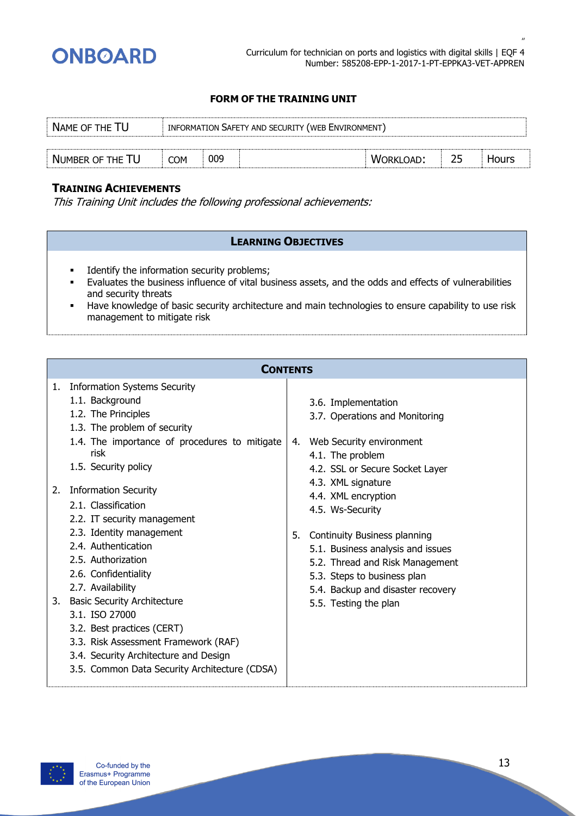

| NAME OF THE TU   |            | INFORMATION SAFETY AND SECURITY (WEB ENVIRONMENT) |  |           |    |       |  |  |
|------------------|------------|---------------------------------------------------|--|-----------|----|-------|--|--|
|                  |            |                                                   |  |           |    |       |  |  |
| NUMBER OF THE TU | <b>COM</b> | 009                                               |  | WORKLOAD: | 25 | Hours |  |  |

# **TRAINING ACHIEVEMENTS**

This Training Unit includes the following professional achievements:

- **•** Identify the information security problems;
- Evaluates the business influence of vital business assets, and the odds and effects of vulnerabilities and security threats
- Have knowledge of basic security architecture and main technologies to ensure capability to use risk management to mitigate risk

|                | <b>CONTENTS</b>                                                                                                                                                                                                                                                                                                                                                                                                                                                                                                                         |          |                                                                                                                                                                                                                                                                                                                                                                                                                       |
|----------------|-----------------------------------------------------------------------------------------------------------------------------------------------------------------------------------------------------------------------------------------------------------------------------------------------------------------------------------------------------------------------------------------------------------------------------------------------------------------------------------------------------------------------------------------|----------|-----------------------------------------------------------------------------------------------------------------------------------------------------------------------------------------------------------------------------------------------------------------------------------------------------------------------------------------------------------------------------------------------------------------------|
| 1.<br>2.<br>3. | <b>Information Systems Security</b><br>1.1. Background<br>1.2. The Principles<br>1.3. The problem of security<br>1.4. The importance of procedures to mitigate<br>risk<br>1.5. Security policy<br><b>Information Security</b><br>2.1. Classification<br>2.2. IT security management<br>2.3. Identity management<br>2.4. Authentication<br>2.5. Authorization<br>2.6. Confidentiality<br>2.7. Availability<br><b>Basic Security Architecture</b><br>3.1. ISO 27000<br>3.2. Best practices (CERT)<br>3.3. Risk Assessment Framework (RAF) | 4.<br>5. | 3.6. Implementation<br>3.7. Operations and Monitoring<br>Web Security environment<br>4.1. The problem<br>4.2. SSL or Secure Socket Layer<br>4.3. XML signature<br>4.4. XML encryption<br>4.5. Ws-Security<br><b>Continuity Business planning</b><br>5.1. Business analysis and issues<br>5.2. Thread and Risk Management<br>5.3. Steps to business plan<br>5.4. Backup and disaster recovery<br>5.5. Testing the plan |
|                | 3.4. Security Architecture and Design<br>3.5. Common Data Security Architecture (CDSA)                                                                                                                                                                                                                                                                                                                                                                                                                                                  |          |                                                                                                                                                                                                                                                                                                                                                                                                                       |

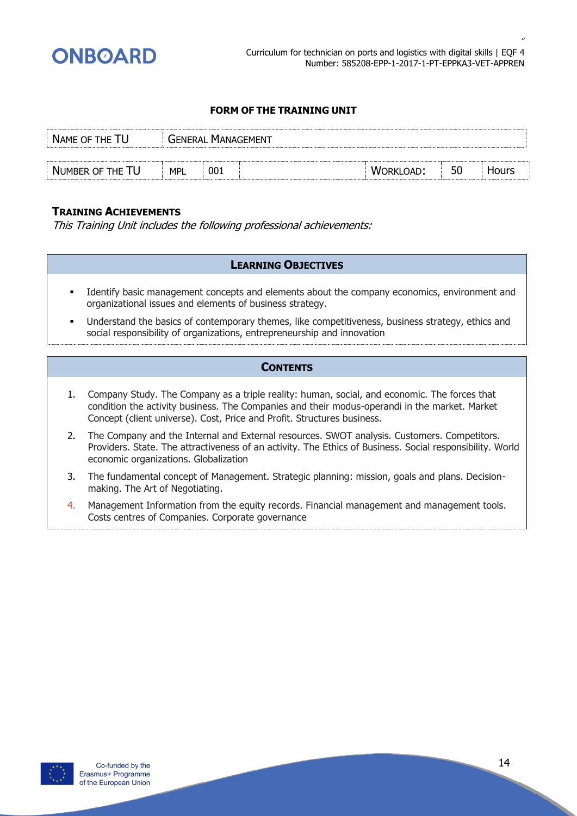

| NAME OF THE TU   |            | <b>GENERAL MANAGEMENT</b> |                  |    |       |
|------------------|------------|---------------------------|------------------|----|-------|
|                  |            |                           |                  |    |       |
| NUMBER OF THE TU | <b>MPL</b> | 001                       | <b>WORKLOAD:</b> | 50 | Hours |

#### **TRAINING ACHIEVEMENTS**

This Training Unit includes the following professional achievements:

#### **LEARNING OBJECTIVES**

- Identify basic management concepts and elements about the company economics, environment and organizational issues and elements of business strategy.
- Understand the basics of contemporary themes, like competitiveness, business strategy, ethics and social responsibility of organizations, entrepreneurship and innovation

- 1. Company Study. The Company as a triple reality: human, social, and economic. The forces that condition the activity business. The Companies and their modus-operandi in the market. Market Concept (client universe). Cost, Price and Profit. Structures business.
- 2. The Company and the Internal and External resources. SWOT analysis. Customers. Competitors. Providers. State. The attractiveness of an activity. The Ethics of Business. Social responsibility. World economic organizations. Globalization
- 3. The fundamental concept of Management. Strategic planning: mission, goals and plans. Decisionmaking. The Art of Negotiating.
- 4. Management Information from the equity records. Financial management and management tools. Costs centres of Companies. Corporate governance

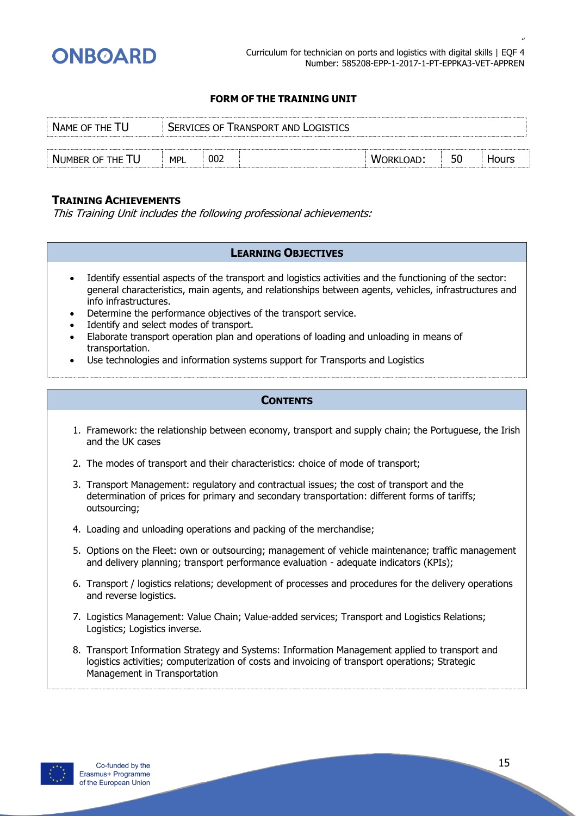

| NAME OF THE TU   |            | <b>SERVICES OF TRANSPORT AND LOGISTICS</b> |  |                  |    |       |  |  |  |  |
|------------------|------------|--------------------------------------------|--|------------------|----|-------|--|--|--|--|
|                  |            |                                            |  |                  |    |       |  |  |  |  |
| NUMBER OF THE TU | <b>MPL</b> | 002                                        |  | <b>WORKLOAD:</b> | 50 | Hours |  |  |  |  |

#### **TRAINING ACHIEVEMENTS**

This Training Unit includes the following professional achievements:

#### **LEARNING OBJECTIVES**

- Identify essential aspects of the transport and logistics activities and the functioning of the sector: general characteristics, main agents, and relationships between agents, vehicles, infrastructures and info infrastructures.
- Determine the performance objectives of the transport service.
- Identify and select modes of transport.
- Elaborate transport operation plan and operations of loading and unloading in means of transportation.
- Use technologies and information systems support for Transports and Logistics

- 1. Framework: the relationship between economy, transport and supply chain; the Portuguese, the Irish and the UK cases
- 2. The modes of transport and their characteristics: choice of mode of transport;
- 3. Transport Management: regulatory and contractual issues; the cost of transport and the determination of prices for primary and secondary transportation: different forms of tariffs; outsourcing;
- 4. Loading and unloading operations and packing of the merchandise;
- 5. Options on the Fleet: own or outsourcing; management of vehicle maintenance; traffic management and delivery planning; transport performance evaluation - adequate indicators (KPIs);
- 6. Transport / logistics relations; development of processes and procedures for the delivery operations and reverse logistics.
- 7. Logistics Management: Value Chain; Value-added services; Transport and Logistics Relations; Logistics; Logistics inverse.
- 8. Transport Information Strategy and Systems: Information Management applied to transport and logistics activities; computerization of costs and invoicing of transport operations; Strategic Management in Transportation

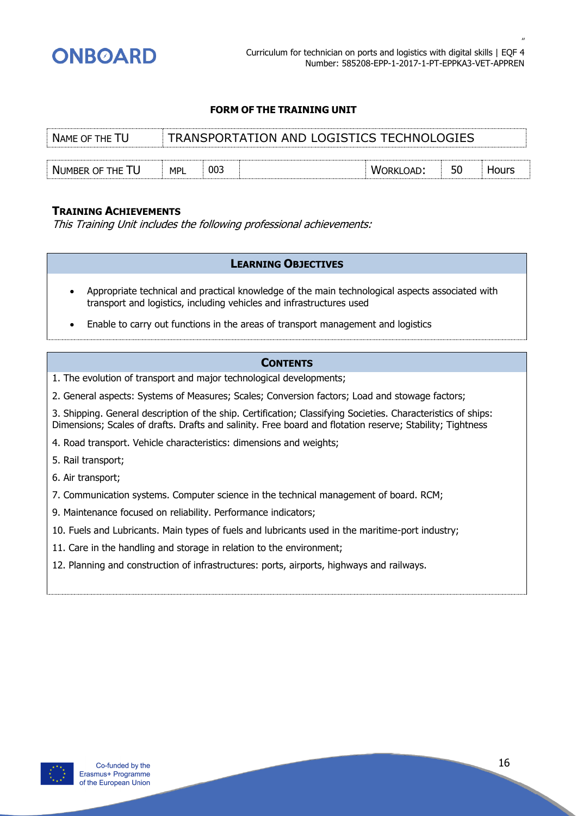

| NAME OF THE TU   |     | TRANSPORTATION AND LOGISTICS TECHNOLOGIES |  |                  |    |              |  |  |  |
|------------------|-----|-------------------------------------------|--|------------------|----|--------------|--|--|--|
|                  |     |                                           |  |                  |    |              |  |  |  |
| NUMBER OF THE TU | MPL | 003                                       |  | <b>WORKLOAD:</b> | 50 | <b>Hours</b> |  |  |  |

#### **TRAINING ACHIEVEMENTS**

This Training Unit includes the following professional achievements:

#### **LEARNING OBJECTIVES**

- Appropriate technical and practical knowledge of the main technological aspects associated with transport and logistics, including vehicles and infrastructures used
- Enable to carry out functions in the areas of transport management and logistics

#### **CONTENTS**

- 1. The evolution of transport and major technological developments;
- 2. General aspects: Systems of Measures; Scales; Conversion factors; Load and stowage factors;

3. Shipping. General description of the ship. Certification; Classifying Societies. Characteristics of ships: Dimensions; Scales of drafts. Drafts and salinity. Free board and flotation reserve; Stability; Tightness

- 4. Road transport. Vehicle characteristics: dimensions and weights;
- 5. Rail transport;
- 6. Air transport;
- 7. Communication systems. Computer science in the technical management of board. RCM;
- 9. Maintenance focused on reliability. Performance indicators;
- 10. Fuels and Lubricants. Main types of fuels and lubricants used in the maritime-port industry;
- 11. Care in the handling and storage in relation to the environment;
- 12. Planning and construction of infrastructures: ports, airports, highways and railways.

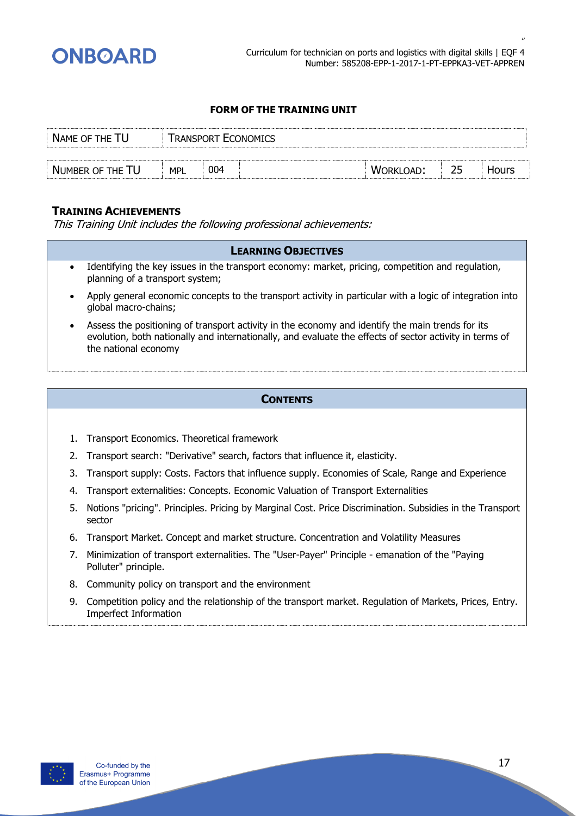

| NAME OF THE TU   |            |     | Transport Economics |                  |    |       |
|------------------|------------|-----|---------------------|------------------|----|-------|
|                  |            |     |                     |                  |    |       |
| NUMBER OF THE TU | <b>MPL</b> | 004 |                     | <b>WORKLOAD:</b> | 25 | Hours |

# **TRAINING ACHIEVEMENTS**

This Training Unit includes the following professional achievements:

#### **LEARNING OBJECTIVES**

- Identifying the key issues in the transport economy: market, pricing, competition and regulation, planning of a transport system;
- Apply general economic concepts to the transport activity in particular with a logic of integration into global macro-chains;
- Assess the positioning of transport activity in the economy and identify the main trends for its evolution, both nationally and internationally, and evaluate the effects of sector activity in terms of the national economy

- 1. Transport Economics. Theoretical framework
- 2. Transport search: "Derivative" search, factors that influence it, elasticity.
- 3. Transport supply: Costs. Factors that influence supply. Economies of Scale, Range and Experience
- 4. Transport externalities: Concepts. Economic Valuation of Transport Externalities
- 5. Notions "pricing". Principles. Pricing by Marginal Cost. Price Discrimination. Subsidies in the Transport sector
- 6. Transport Market. Concept and market structure. Concentration and Volatility Measures
- 7. Minimization of transport externalities. The "User-Payer" Principle emanation of the "Paying Polluter" principle.
- 8. Community policy on transport and the environment
- 9. Competition policy and the relationship of the transport market. Regulation of Markets, Prices, Entry. Imperfect Information

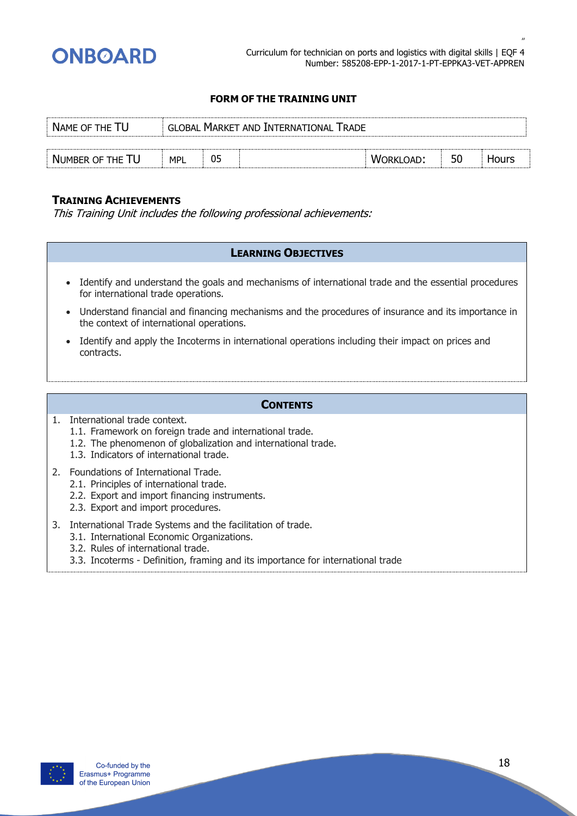

| NAME OF THE TU   |            | <b>GLOBAL MARKET AND INTERNATIONAL TRADE</b> |  |                  |    |       |  |  |  |  |
|------------------|------------|----------------------------------------------|--|------------------|----|-------|--|--|--|--|
|                  |            |                                              |  |                  |    |       |  |  |  |  |
| NUMBER OF THE TU | <b>MPL</b> | 05                                           |  | <b>WORKLOAD:</b> | 50 | Hours |  |  |  |  |

# **TRAINING ACHIEVEMENTS**

This Training Unit includes the following professional achievements:

#### **LEARNING OBJECTIVES**

- Identify and understand the goals and mechanisms of international trade and the essential procedures for international trade operations.
- Understand financial and financing mechanisms and the procedures of insurance and its importance in the context of international operations.
- Identify and apply the Incoterms in international operations including their impact on prices and contracts.

- 1. International trade context.
	- 1.1. Framework on foreign trade and international trade.
	- 1.2. The phenomenon of globalization and international trade.
	- 1.3. Indicators of international trade.
- 2. Foundations of International Trade.
	- 2.1. Principles of international trade.
	- 2.2. Export and import financing instruments.
	- 2.3. Export and import procedures.
- 3. International Trade Systems and the facilitation of trade.
	- 3.1. International Economic Organizations.
		- 3.2. Rules of international trade.
		- 3.3. Incoterms Definition, framing and its importance for international trade

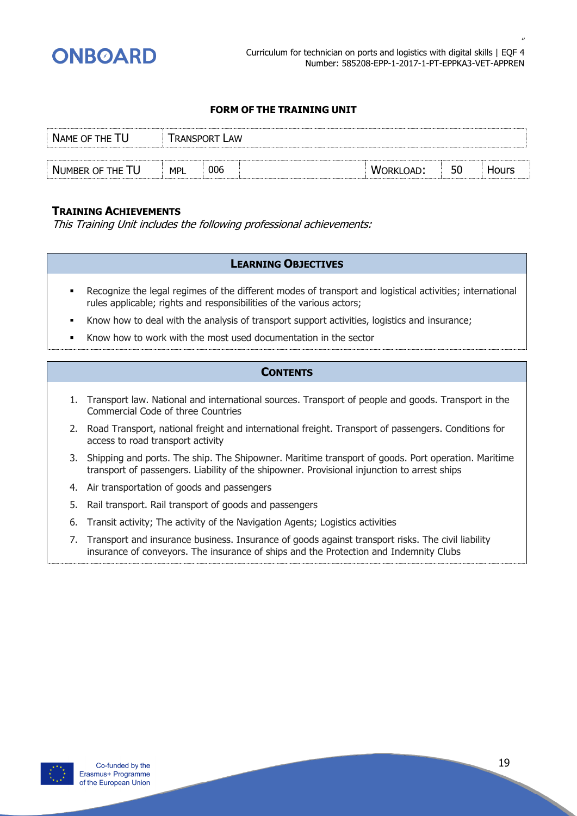

| NAME OF THE TU   |            | Transport Law |           |    |       |
|------------------|------------|---------------|-----------|----|-------|
|                  |            |               |           |    |       |
| NUMBER OF THE TU | <b>MPL</b> | 006           | WORKLOAD: | 50 | Hours |

# **TRAINING ACHIEVEMENTS**

This Training Unit includes the following professional achievements:

#### **LEARNING OBJECTIVES**

- Recognize the legal regimes of the different modes of transport and logistical activities; international rules applicable; rights and responsibilities of the various actors;
- Know how to deal with the analysis of transport support activities, logistics and insurance;
- Know how to work with the most used documentation in the sector

- 1. Transport law. National and international sources. Transport of people and goods. Transport in the Commercial Code of three Countries
- 2. Road Transport, national freight and international freight. Transport of passengers. Conditions for access to road transport activity
- 3. Shipping and ports. The ship. The Shipowner. Maritime transport of goods. Port operation. Maritime transport of passengers. Liability of the shipowner. Provisional injunction to arrest ships
- 4. Air transportation of goods and passengers
- 5. Rail transport. Rail transport of goods and passengers
- 6. Transit activity; The activity of the Navigation Agents; Logistics activities
- 7. Transport and insurance business. Insurance of goods against transport risks. The civil liability insurance of conveyors. The insurance of ships and the Protection and Indemnity Clubs

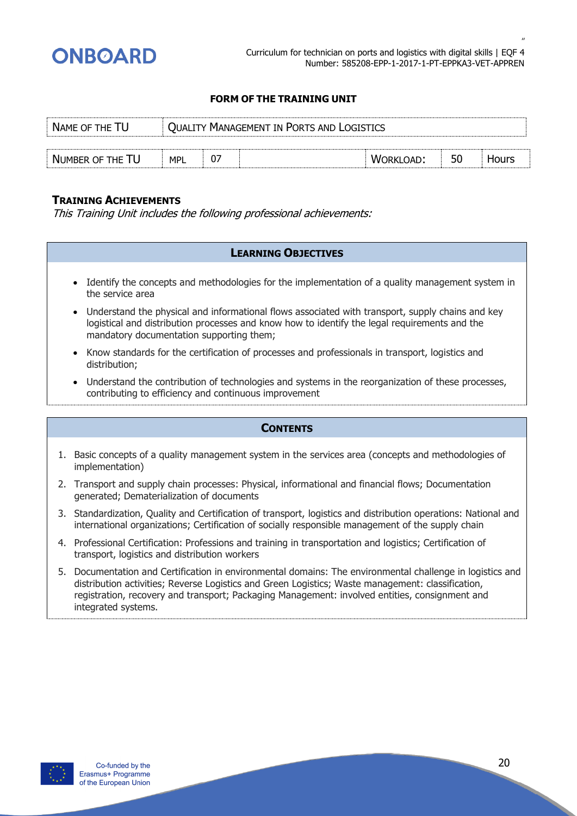

| NAME OF THE TU   |            | <b>QUALITY MANAGEMENT IN PORTS AND LOGISTICS</b> |  |           |    |       |  |
|------------------|------------|--------------------------------------------------|--|-----------|----|-------|--|
|                  |            |                                                  |  |           |    |       |  |
| NUMBER OF THE TU | <b>MPL</b> |                                                  |  | WORKLOAD: | 50 | Hours |  |

#### **TRAINING ACHIEVEMENTS**

This Training Unit includes the following professional achievements:

#### **LEARNING OBJECTIVES**

- Identify the concepts and methodologies for the implementation of a quality management system in the service area
- Understand the physical and informational flows associated with transport, supply chains and key logistical and distribution processes and know how to identify the legal requirements and the mandatory documentation supporting them;
- Know standards for the certification of processes and professionals in transport, logistics and distribution;
- Understand the contribution of technologies and systems in the reorganization of these processes, contributing to efficiency and continuous improvement

- 1. Basic concepts of a quality management system in the services area (concepts and methodologies of implementation)
- 2. Transport and supply chain processes: Physical, informational and financial flows; Documentation generated; Dematerialization of documents
- 3. Standardization, Quality and Certification of transport, logistics and distribution operations: National and international organizations; Certification of socially responsible management of the supply chain
- 4. Professional Certification: Professions and training in transportation and logistics; Certification of transport, logistics and distribution workers
- 5. Documentation and Certification in environmental domains: The environmental challenge in logistics and distribution activities; Reverse Logistics and Green Logistics; Waste management: classification, registration, recovery and transport; Packaging Management: involved entities, consignment and integrated systems.

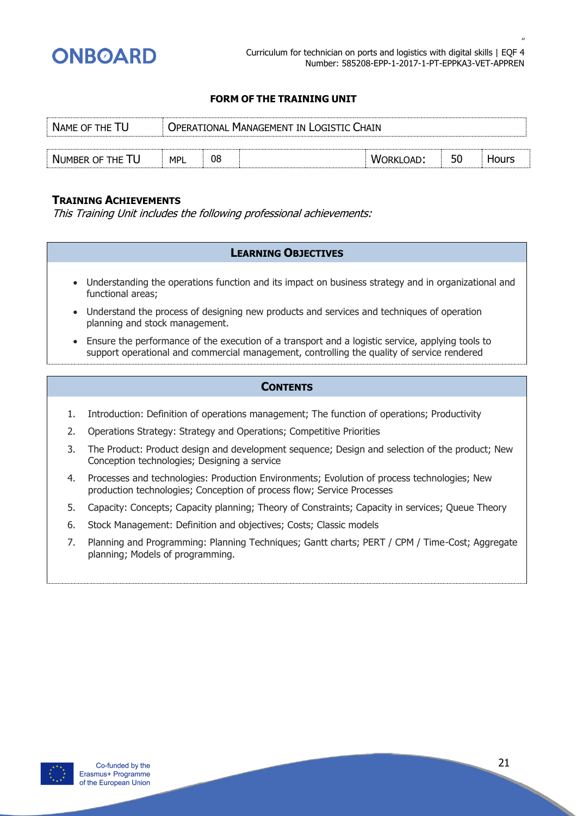

| NAME OF THE TU                                 |            | Operational Management in Logistic Chain. |  |                  |    |       |  |  |
|------------------------------------------------|------------|-------------------------------------------|--|------------------|----|-------|--|--|
|                                                |            |                                           |  |                  |    |       |  |  |
| $\dot{ }$ Number of the $\mathsf{T}\mathsf{U}$ | <b>MPL</b> | 08                                        |  | <b>WORKLOAD:</b> | 50 | Hours |  |  |

# **TRAINING ACHIEVEMENTS**

This Training Unit includes the following professional achievements:

#### **LEARNING OBJECTIVES**

- Understanding the operations function and its impact on business strategy and in organizational and functional areas;
- Understand the process of designing new products and services and techniques of operation planning and stock management.
- Ensure the performance of the execution of a transport and a logistic service, applying tools to support operational and commercial management, controlling the quality of service rendered

- 1. Introduction: Definition of operations management; The function of operations; Productivity
- 2. Operations Strategy: Strategy and Operations; Competitive Priorities
- 3. The Product: Product design and development sequence; Design and selection of the product; New Conception technologies; Designing a service
- 4. Processes and technologies: Production Environments; Evolution of process technologies; New production technologies; Conception of process flow; Service Processes
- 5. Capacity: Concepts; Capacity planning; Theory of Constraints; Capacity in services; Queue Theory
- 6. Stock Management: Definition and objectives; Costs; Classic models
- 7. Planning and Programming: Planning Techniques; Gantt charts; PERT / CPM / Time-Cost; Aggregate planning; Models of programming.

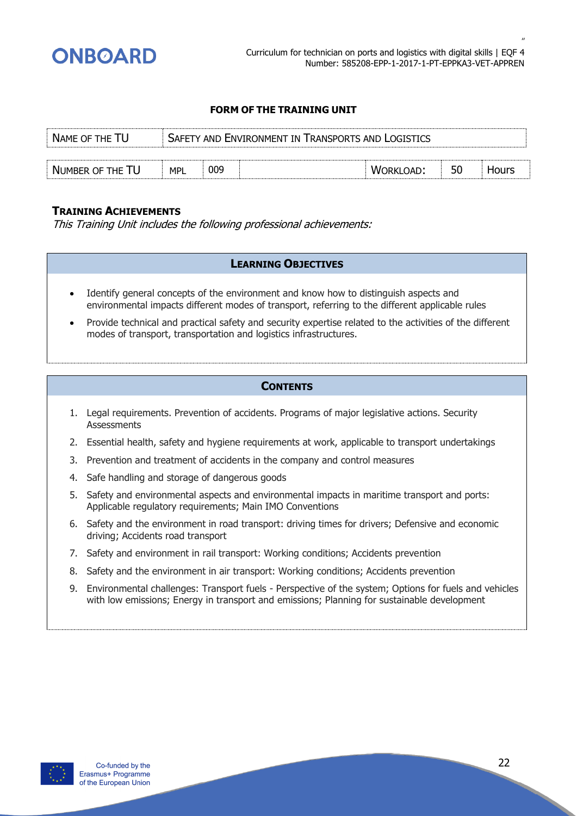

| NAME OF THE TU   | SAFETY AND ENVIRONMENT IN TRANSPORTS AND LOGISTICS |  |           |    |       |
|------------------|----------------------------------------------------|--|-----------|----|-------|
|                  |                                                    |  |           |    |       |
| NUMBER OF THE TU | 009<br><b>MPL</b>                                  |  | WORKLOAD: | 50 | Hours |

#### **TRAINING ACHIEVEMENTS**

This Training Unit includes the following professional achievements:

#### **LEARNING OBJECTIVES**

- Identify general concepts of the environment and know how to distinguish aspects and environmental impacts different modes of transport, referring to the different applicable rules
- Provide technical and practical safety and security expertise related to the activities of the different modes of transport, transportation and logistics infrastructures.

- 1. Legal requirements. Prevention of accidents. Programs of major legislative actions. Security **Assessments**
- 2. Essential health, safety and hygiene requirements at work, applicable to transport undertakings
- 3. Prevention and treatment of accidents in the company and control measures
- 4. Safe handling and storage of dangerous goods
- 5. Safety and environmental aspects and environmental impacts in maritime transport and ports: Applicable regulatory requirements; Main IMO Conventions
- 6. Safety and the environment in road transport: driving times for drivers; Defensive and economic driving; Accidents road transport
- 7. Safety and environment in rail transport: Working conditions; Accidents prevention
- 8. Safety and the environment in air transport: Working conditions; Accidents prevention
- 9. Environmental challenges: Transport fuels Perspective of the system; Options for fuels and vehicles with low emissions; Energy in transport and emissions; Planning for sustainable development

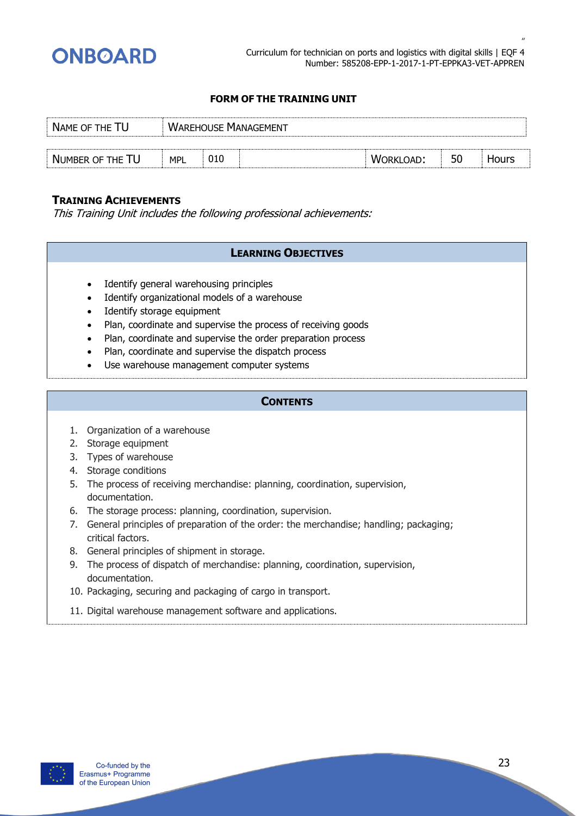

| NAME OF THE TU   |            | <b>WAREHOUSE MANAGEMENT</b> |  |                  |    |       |  |  |
|------------------|------------|-----------------------------|--|------------------|----|-------|--|--|
|                  |            |                             |  |                  |    |       |  |  |
| NUMBER OF THE TU | <b>MPL</b> | 010                         |  | <b>WORKLOAD:</b> | 50 | Hours |  |  |

# **TRAINING ACHIEVEMENTS**

This Training Unit includes the following professional achievements:

#### **LEARNING OBJECTIVES**

- Identify general warehousing principles
- Identify organizational models of a warehouse
- Identify storage equipment
- Plan, coordinate and supervise the process of receiving goods
- Plan, coordinate and supervise the order preparation process
- Plan, coordinate and supervise the dispatch process
- Use warehouse management computer systems

- 1. Organization of a warehouse
- 2. Storage equipment
- 3. Types of warehouse
- 4. Storage conditions
- 5. The process of receiving merchandise: planning, coordination, supervision, documentation.
- 6. The storage process: planning, coordination, supervision.
- 7. General principles of preparation of the order: the merchandise; handling; packaging; critical factors.
- 8. General principles of shipment in storage.
- 9. The process of dispatch of merchandise: planning, coordination, supervision, documentation.
- 10. Packaging, securing and packaging of cargo in transport.
- 11. Digital warehouse management software and applications.

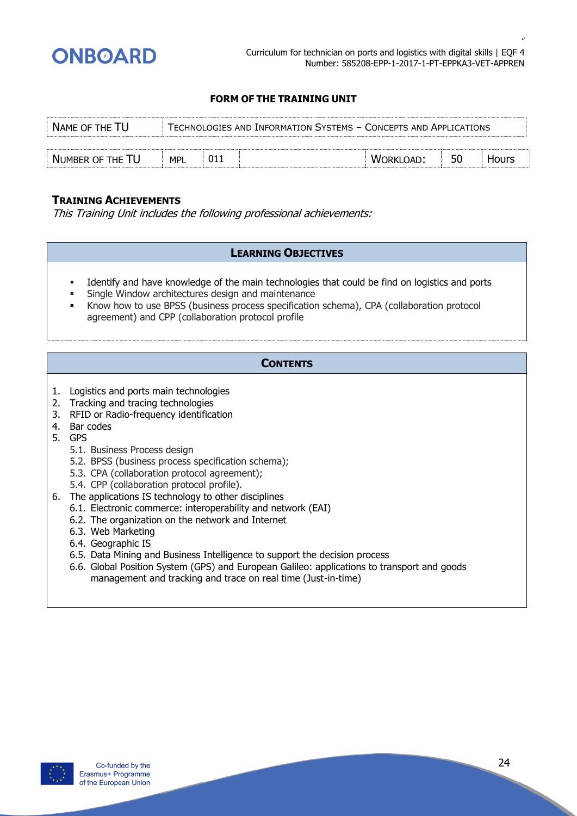

| NAME OF THE TU   |            | TECHNOLOGIES AND INFORMATION SYSTEMS - CONCEPTS AND APPLICATIONS |  |           |    |       |  |
|------------------|------------|------------------------------------------------------------------|--|-----------|----|-------|--|
|                  |            |                                                                  |  |           |    |       |  |
| NUMBER OF THE TU | <b>MPL</b> | 01.                                                              |  | WORKLOAD: | 50 | Hours |  |

# **TRAINING ACHIEVEMENTS**

This Training Unit includes the following professional achievements:

#### **LEARNING OBJECTIVES**

- Identify and have knowledge of the main technologies that could be find on logistics and ports
- Single Window architectures design and maintenance
- Know how to use BPSS (business process specification schema), CPA (collaboration protocol agreement) and CPP (collaboration protocol profile

- 1. Logistics and ports main technologies
- 2. Tracking and tracing technologies
- 3. RFID or Radio-frequency identification
- 4. Bar codes
- 5. GPS
	- 5.1. Business Process design
	- 5.2. BPSS (business process specification schema);
	- 5.3. CPA (collaboration protocol agreement);
	- 5.4. CPP (collaboration protocol profile).
- 6. The applications IS technology to other disciplines
	- 6.1. Electronic commerce: interoperability and network (EAI)
	- 6.2. The organization on the network and Internet
	- 6.3. Web Marketing
	- 6.4. Geographic IS
	- 6.5. Data Mining and Business Intelligence to support the decision process
	- 6.6. Global Position System (GPS) and European Galileo: applications to transport and goods management and tracking and trace on real time (Just-in-time)

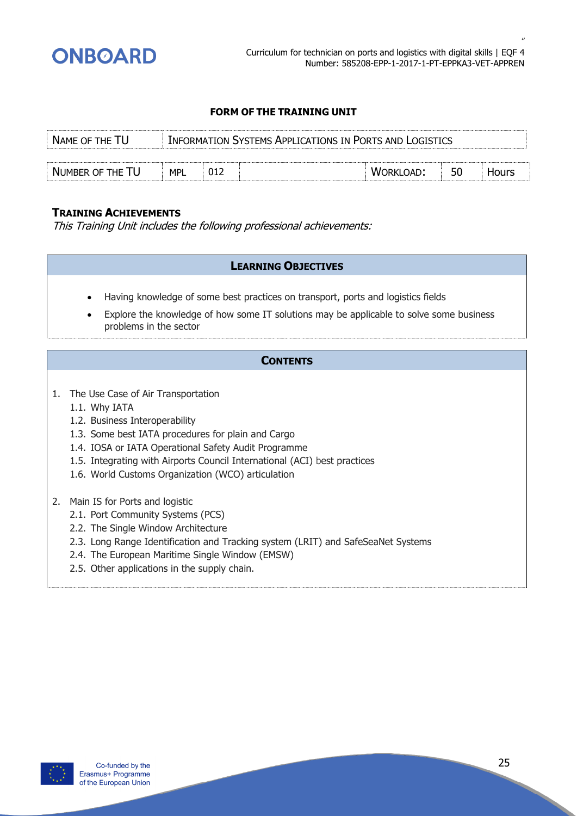

| NAME OF THE TU   |     | INFORMATION SYSTEMS APPLICATIONS IN PORTS AND LOGISTICS |  |           |    |       |
|------------------|-----|---------------------------------------------------------|--|-----------|----|-------|
|                  |     |                                                         |  |           |    |       |
| NUMBER OF THE TU | MPL | 012                                                     |  | WORKLOAD: | 50 | Hours |

# **TRAINING ACHIEVEMENTS**

This Training Unit includes the following professional achievements:

#### **LEARNING OBJECTIVES**

- Having knowledge of some best practices on transport, ports and logistics fields
- Explore the knowledge of how some IT solutions may be applicable to solve some business problems in the sector

- 1. The Use Case of Air Transportation
	- 1.1. Why IATA
	- 1.2. Business Interoperability
	- 1.3. Some best IATA procedures for plain and Cargo
	- 1.4. IOSA or IATA Operational Safety Audit Programme
	- 1.5. Integrating with Airports Council International (ACI) best practices
	- 1.6. World Customs Organization (WCO) articulation
- 2. Main IS for Ports and logistic
	- 2.1. Port Community Systems (PCS)
	- 2.2. The Single Window Architecture
	- 2.3. Long Range Identification and Tracking system (LRIT) and SafeSeaNet Systems
	- 2.4. The European Maritime Single Window (EMSW)
	- 2.5. Other applications in the supply chain.

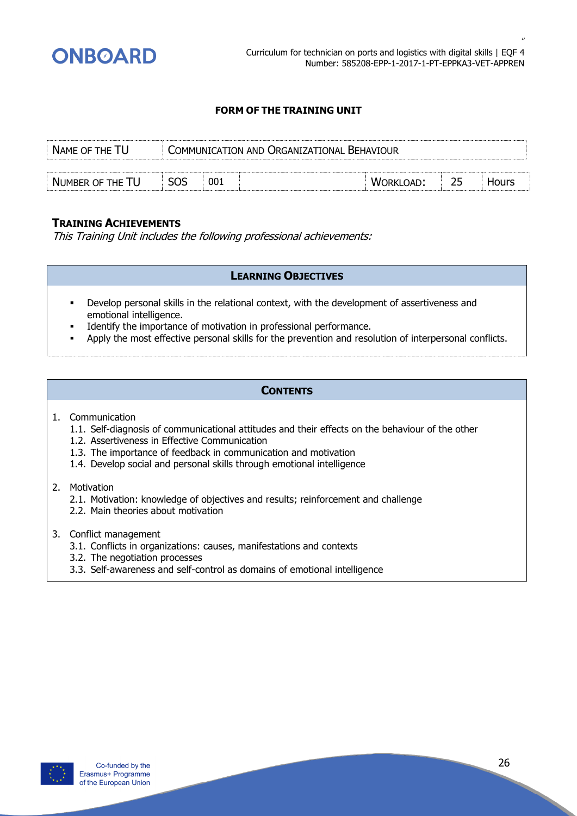

| NAME OF THE TU   |            | COMMUNICATION AND ORGANIZATIONAL BEHAVIOUR |  |           |  |              |  |
|------------------|------------|--------------------------------------------|--|-----------|--|--------------|--|
|                  |            |                                            |  |           |  |              |  |
| NUMBER OF THE TU | <b>SOS</b> | 001                                        |  | WORKLOAD: |  | <b>Hours</b> |  |

#### **TRAINING ACHIEVEMENTS**

This Training Unit includes the following professional achievements:

# **LEARNING OBJECTIVES**

- Develop personal skills in the relational context, with the development of assertiveness and emotional intelligence.
- Identify the importance of motivation in professional performance.
- Apply the most effective personal skills for the prevention and resolution of interpersonal conflicts.

#### **CONTENTS**

#### 1. Communication

- 1.1. Self-diagnosis of communicational attitudes and their effects on the behaviour of the other
- 1.2. Assertiveness in Effective Communication
- 1.3. The importance of feedback in communication and motivation
- 1.4. Develop social and personal skills through emotional intelligence
- 2. Motivation
	- 2.1. Motivation: knowledge of objectives and results; reinforcement and challenge
	- 2.2. Main theories about motivation
- 3. Conflict management
	- 3.1. Conflicts in organizations: causes, manifestations and contexts
	- 3.2. The negotiation processes
	- 3.3. Self-awareness and self-control as domains of emotional intelligence

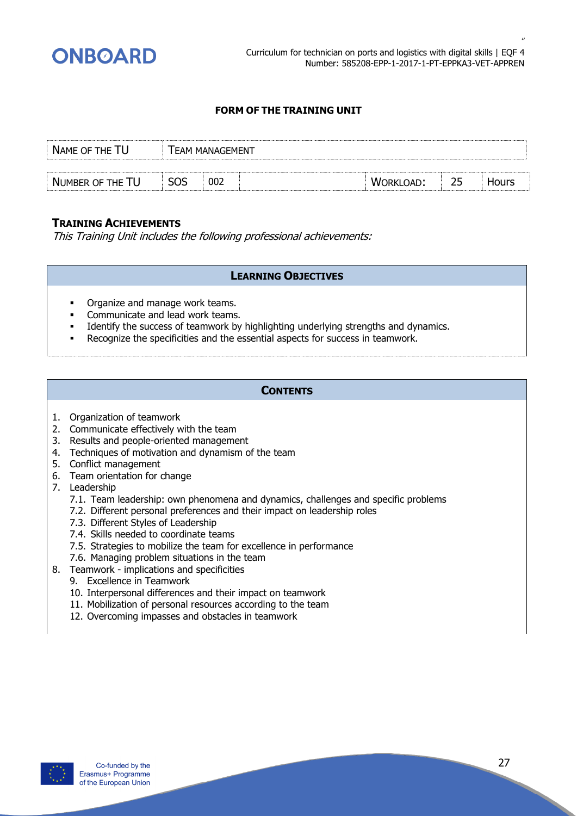

| NAME OF THE TU   |            | <b>EAM MANAGEMENT</b> |           |    |              |
|------------------|------------|-----------------------|-----------|----|--------------|
|                  |            |                       |           |    |              |
| NUMBER OF THE TU | <b>SOS</b> | 002                   | WORKLOAD: | 25 | <b>Hours</b> |

#### **TRAINING ACHIEVEMENTS**

This Training Unit includes the following professional achievements:

#### **LEARNING OBJECTIVES**

- Organize and manage work teams.
- Communicate and lead work teams.
- Identify the success of teamwork by highlighting underlying strengths and dynamics.
- Recognize the specificities and the essential aspects for success in teamwork.

- 1. Organization of teamwork
- 2. Communicate effectively with the team
- 3. Results and people-oriented management
- 4. Techniques of motivation and dynamism of the team
- 5. Conflict management
- 6. Team orientation for change
- 7. Leadership
	- 7.1. Team leadership: own phenomena and dynamics, challenges and specific problems
	- 7.2. Different personal preferences and their impact on leadership roles
	- 7.3. Different Styles of Leadership
	- 7.4. Skills needed to coordinate teams
	- 7.5. Strategies to mobilize the team for excellence in performance
	- 7.6. Managing problem situations in the team
- 8. Teamwork implications and specificities
	- 9. Excellence in Teamwork
	- 10. Interpersonal differences and their impact on teamwork
	- 11. Mobilization of personal resources according to the team
	- 12. Overcoming impasses and obstacles in teamwork

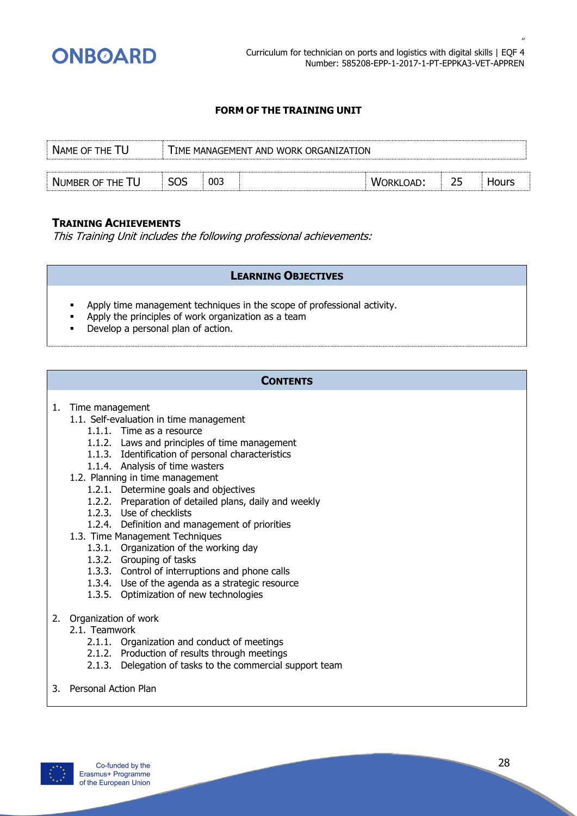

| NAME OF THE          |            | IME MANAGEMENT AND WORK ORGANIZATION |    |  |
|----------------------|------------|--------------------------------------|----|--|
|                      |            |                                      |    |  |
| . NUMBER OF THE $\,$ | SOS<br>003 | :רובר<br>w.                          | 25 |  |

#### **TRAINING ACHIEVEMENTS**

This Training Unit includes the following professional achievements:

#### **LEARNING OBJECTIVES**

- Apply time management techniques in the scope of professional activity.
- Apply the principles of work organization as a team
- Develop a personal plan of action.

- 1. Time management
	- 1.1. Self-evaluation in time management
		- 1.1.1. Time as a resource
		- 1.1.2. Laws and principles of time management
		- 1.1.3. Identification of personal characteristics
		- 1.1.4. Analysis of time wasters
	- 1.2. Planning in time management
		- 1.2.1. Determine goals and objectives
		- 1.2.2. Preparation of detailed plans, daily and weekly
		- 1.2.3. Use of checklists
		- 1.2.4. Definition and management of priorities
	- 1.3. Time Management Techniques
		- 1.3.1. Organization of the working day
		- 1.3.2. Grouping of tasks
		- 1.3.3. Control of interruptions and phone calls
		- 1.3.4. Use of the agenda as a strategic resource
		- 1.3.5. Optimization of new technologies
- 2. Organization of work
	- 2.1. Teamwork
		- 2.1.1. Organization and conduct of meetings
		- 2.1.2. Production of results through meetings
		- 2.1.3. Delegation of tasks to the commercial support team
- 3. Personal Action Plan

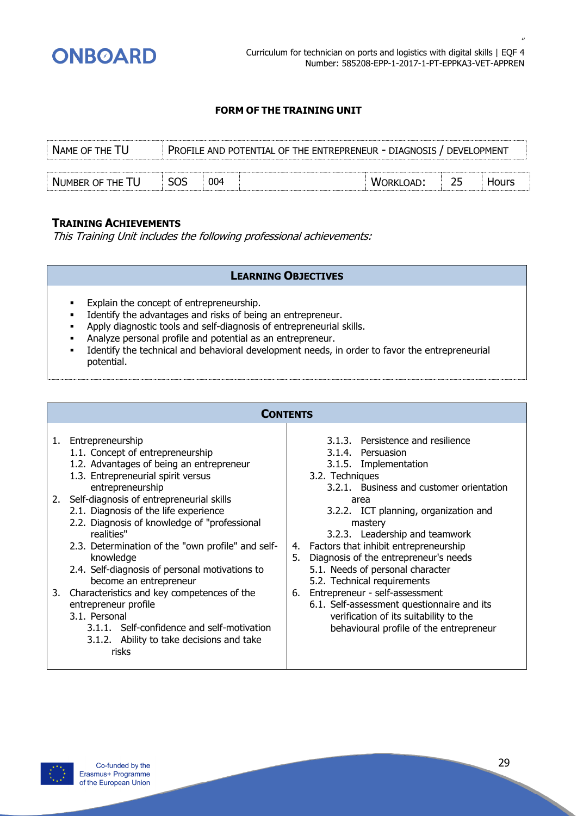

| NAME OF THE TU   |            |     | PROFILE AND POTENTIAL OF THE ENTREPRENEUR - DIAGNOSIS / DEVELOPMENT |           |    |        |
|------------------|------------|-----|---------------------------------------------------------------------|-----------|----|--------|
|                  |            |     |                                                                     |           |    |        |
| NUMBER OF THE TU | <b>SOS</b> | 004 |                                                                     | WORKLOAD: | 25 | HOLITS |

#### **TRAINING ACHIEVEMENTS**

This Training Unit includes the following professional achievements:

#### **LEARNING OBJECTIVES**

- Explain the concept of entrepreneurship.
- Identify the advantages and risks of being an entrepreneur.
- Apply diagnostic tools and self-diagnosis of entrepreneurial skills.
- Analyze personal profile and potential as an entrepreneur.
- Identify the technical and behavioral development needs, in order to favor the entrepreneurial potential.

#### **CONTENTS**

#### 1. Entrepreneurship

- 1.1. Concept of entrepreneurship
- 1.2. Advantages of being an entrepreneur
- 1.3. Entrepreneurial spirit versus entrepreneurship
- 2. Self-diagnosis of entrepreneurial skills
	- 2.1. Diagnosis of the life experience
	- 2.2. Diagnosis of knowledge of "professional realities"
	- 2.3. Determination of the "own profile" and selfknowledge
	- 2.4. Self-diagnosis of personal motivations to become an entrepreneur
- 3. Characteristics and key competences of the entrepreneur profile
	- 3.1. Personal
		- 3.1.1. Self-confidence and self-motivation
		- 3.1.2. Ability to take decisions and take
			- risks
- 3.1.3. Persistence and resilience
- 3.1.4. Persuasion
- 3.1.5. Implementation
- 3.2. Techniques
	- 3.2.1. Business and customer orientation area
	- 3.2.2. ICT planning, organization and mastery
	- 3.2.3. Leadership and teamwork
- 4. Factors that inhibit entrepreneurship
- 5. Diagnosis of the entrepreneur's needs 5.1. Needs of personal character
	- 5.2. Technical requirements
- 6. Entrepreneur self-assessment 6.1. Self-assessment questionnaire and its verification of its suitability to the behavioural profile of the entrepreneur

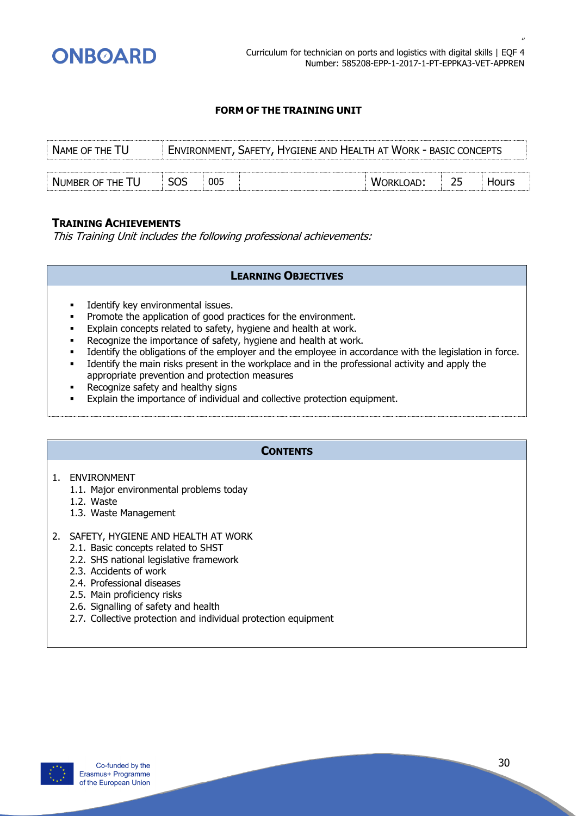

| NAME OF THE TU   |            | <b>ENVIRONMENT, SAFETY, HYGIENE AND HEALTH AT WORK - BASIC CONCEPTS</b> |  |           |    |       |
|------------------|------------|-------------------------------------------------------------------------|--|-----------|----|-------|
|                  |            |                                                                         |  |           |    |       |
| NUMBER OF THE TU | <b>SOS</b> | 005                                                                     |  | WORKLOAD: | 25 | Hours |

#### **TRAINING ACHIEVEMENTS**

This Training Unit includes the following professional achievements:

#### **LEARNING OBJECTIVES**

- Identify key environmental issues.
- **•** Promote the application of good practices for the environment.
- Explain concepts related to safety, hygiene and health at work.
- Recognize the importance of safety, hygiene and health at work.
- Identify the obligations of the employer and the employee in accordance with the legislation in force.
- Identify the main risks present in the workplace and in the professional activity and apply the appropriate prevention and protection measures
- Recognize safety and healthy signs
- **Explain the importance of individual and collective protection equipment.**

#### **CONTENTS**

- 1. ENVIRONMENT
	- 1.1. Major environmental problems today
	- 1.2. Waste
	- 1.3. Waste Management

#### 2. SAFETY, HYGIENE AND HEALTH AT WORK

- 2.1. Basic concepts related to SHST
- 2.2. SHS national legislative framework
- 2.3. Accidents of work
- 2.4. Professional diseases
- 2.5. Main proficiency risks
- 2.6. Signalling of safety and health
- 2.7. Collective protection and individual protection equipment